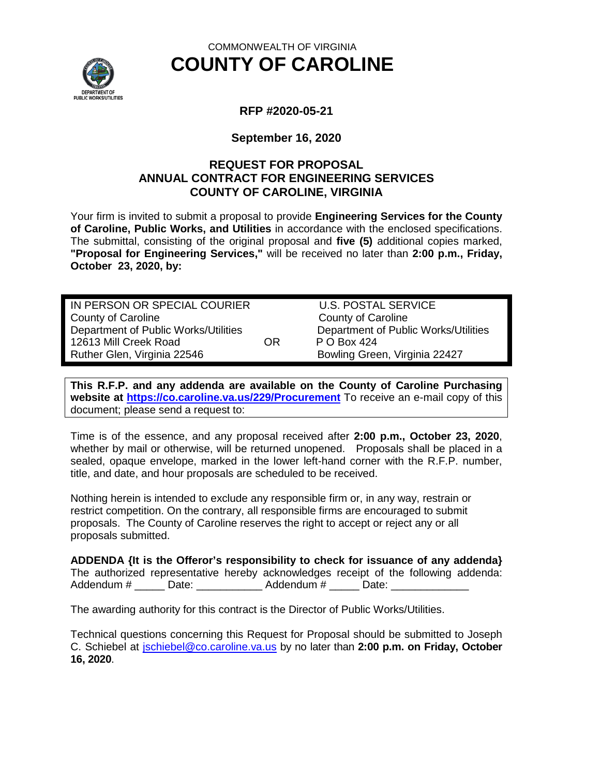

# COMMONWEALTH OF VIRGINIA **COUNTY OF CAROLINE**

# **RFP #2020-05-21**

### **September 16, 2020**

# **REQUEST FOR PROPOSAL ANNUAL CONTRACT FOR ENGINEERING SERVICES COUNTY OF CAROLINE, VIRGINIA**

Your firm is invited to submit a proposal to provide **Engineering Services for the County of Caroline, Public Works, and Utilities** in accordance with the enclosed specifications. The submittal, consisting of the original proposal and **five (5)** additional copies marked, **"Proposal for Engineering Services,"** will be received no later than **2:00 p.m., Friday, October 23, 2020, by:**

IN PERSON OR SPECIAL COURIER U.S. POSTAL SERVICE County of Caroline<br>
Department of Public Works/Utilities<br>
Department of Public Works/Utilities<br>
Department of Public Works/Utilities Department of Public Works/Utilities 12613 Mill Creek Road **OR** P O Box 424 Ruther Glen, Virginia 22546 **Bowling Green, Virginia 22427** 

**This R.F.P. and any addenda are available on the County of Caroline Purchasing website at<https://co.caroline.va.us/229/Procurement>** To receive an e-mail copy of this document; please send a request to:

Time is of the essence, and any proposal received after **2:00 p.m., October 23, 2020**, whether by mail or otherwise, will be returned unopened. Proposals shall be placed in a sealed, opaque envelope, marked in the lower left-hand corner with the R.F.P. number, title, and date, and hour proposals are scheduled to be received.

Nothing herein is intended to exclude any responsible firm or, in any way, restrain or restrict competition. On the contrary, all responsible firms are encouraged to submit proposals. The County of Caroline reserves the right to accept or reject any or all proposals submitted.

**ADDENDA {It is the Offeror's responsibility to check for issuance of any addenda}** The authorized representative hereby acknowledges receipt of the following addenda: Addendum # Date:  $\blacksquare$  Date:  $\blacksquare$  Addendum #  $\blacksquare$  Date:  $\blacksquare$ 

The awarding authority for this contract is the Director of Public Works/Utilities.

Technical questions concerning this Request for Proposal should be submitted to Joseph C. Schiebel at [jschiebel@co.caroline.va.us](mailto:jschiebel@co.caroline.va.us) by no later than **2:00 p.m. on Friday, October 16, 2020**.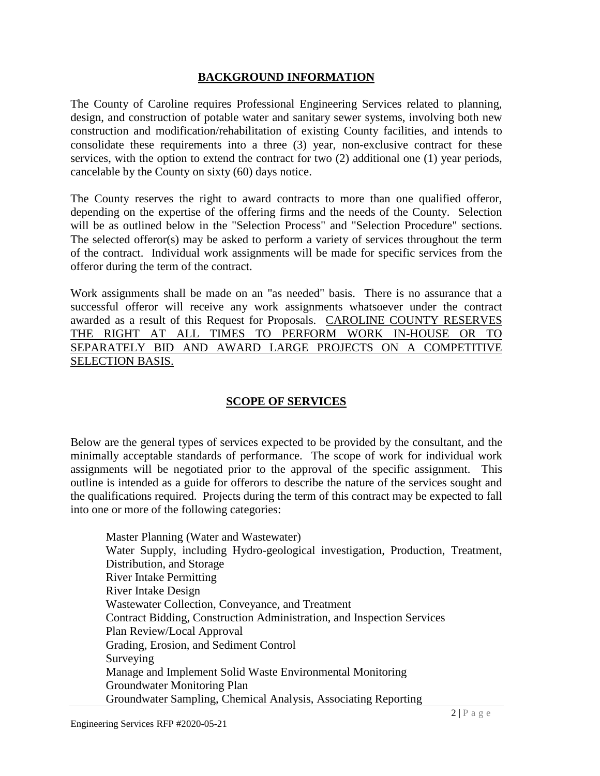### **BACKGROUND INFORMATION**

The County of Caroline requires Professional Engineering Services related to planning, design, and construction of potable water and sanitary sewer systems, involving both new construction and modification/rehabilitation of existing County facilities, and intends to consolidate these requirements into a three (3) year, non-exclusive contract for these services, with the option to extend the contract for two (2) additional one (1) year periods, cancelable by the County on sixty (60) days notice.

The County reserves the right to award contracts to more than one qualified offeror, depending on the expertise of the offering firms and the needs of the County. Selection will be as outlined below in the "Selection Process" and "Selection Procedure" sections. The selected offeror(s) may be asked to perform a variety of services throughout the term of the contract. Individual work assignments will be made for specific services from the offeror during the term of the contract.

Work assignments shall be made on an "as needed" basis. There is no assurance that a successful offeror will receive any work assignments whatsoever under the contract awarded as a result of this Request for Proposals. CAROLINE COUNTY RESERVES THE RIGHT AT ALL TIMES TO PERFORM WORK IN-HOUSE OR TO SEPARATELY BID AND AWARD LARGE PROJECTS ON A COMPETITIVE SELECTION BASIS.

# **SCOPE OF SERVICES**

Below are the general types of services expected to be provided by the consultant, and the minimally acceptable standards of performance. The scope of work for individual work assignments will be negotiated prior to the approval of the specific assignment. This outline is intended as a guide for offerors to describe the nature of the services sought and the qualifications required. Projects during the term of this contract may be expected to fall into one or more of the following categories:

Master Planning (Water and Wastewater) Water Supply, including Hydro-geological investigation, Production, Treatment, Distribution, and Storage River Intake Permitting River Intake Design Wastewater Collection, Conveyance, and Treatment Contract Bidding, Construction Administration, and Inspection Services Plan Review/Local Approval Grading, Erosion, and Sediment Control Surveying Manage and Implement Solid Waste Environmental Monitoring Groundwater Monitoring Plan Groundwater Sampling, Chemical Analysis, Associating Reporting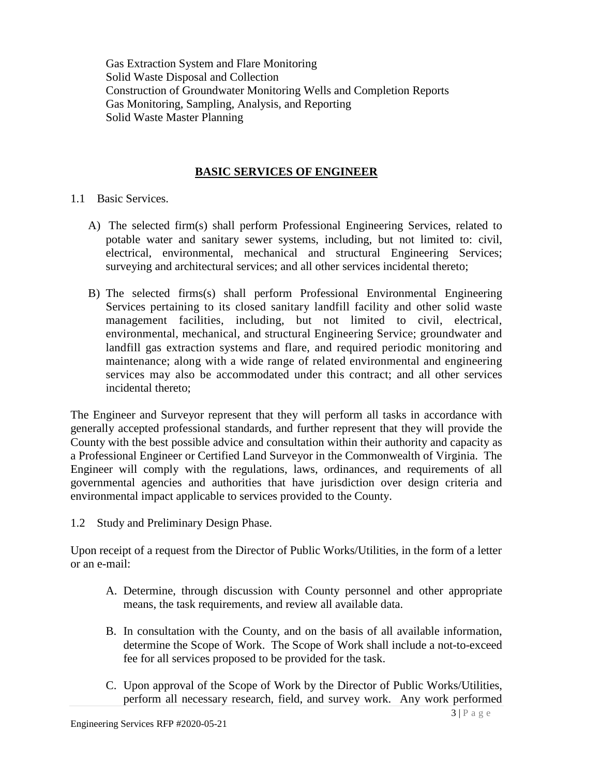Gas Extraction System and Flare Monitoring Solid Waste Disposal and Collection Construction of Groundwater Monitoring Wells and Completion Reports Gas Monitoring, Sampling, Analysis, and Reporting Solid Waste Master Planning

### **BASIC SERVICES OF ENGINEER**

- 1.1 Basic Services.
	- A) The selected firm(s) shall perform Professional Engineering Services, related to potable water and sanitary sewer systems, including, but not limited to: civil, electrical, environmental, mechanical and structural Engineering Services; surveying and architectural services; and all other services incidental thereto;
	- B) The selected firms(s) shall perform Professional Environmental Engineering Services pertaining to its closed sanitary landfill facility and other solid waste management facilities, including, but not limited to civil, electrical, environmental, mechanical, and structural Engineering Service; groundwater and landfill gas extraction systems and flare, and required periodic monitoring and maintenance; along with a wide range of related environmental and engineering services may also be accommodated under this contract; and all other services incidental thereto;

The Engineer and Surveyor represent that they will perform all tasks in accordance with generally accepted professional standards, and further represent that they will provide the County with the best possible advice and consultation within their authority and capacity as a Professional Engineer or Certified Land Surveyor in the Commonwealth of Virginia. The Engineer will comply with the regulations, laws, ordinances, and requirements of all governmental agencies and authorities that have jurisdiction over design criteria and environmental impact applicable to services provided to the County.

1.2 Study and Preliminary Design Phase.

Upon receipt of a request from the Director of Public Works/Utilities, in the form of a letter or an e-mail:

- A. Determine, through discussion with County personnel and other appropriate means, the task requirements, and review all available data.
- B. In consultation with the County, and on the basis of all available information, determine the Scope of Work. The Scope of Work shall include a not-to-exceed fee for all services proposed to be provided for the task.
- C. Upon approval of the Scope of Work by the Director of Public Works/Utilities, perform all necessary research, field, and survey work. Any work performed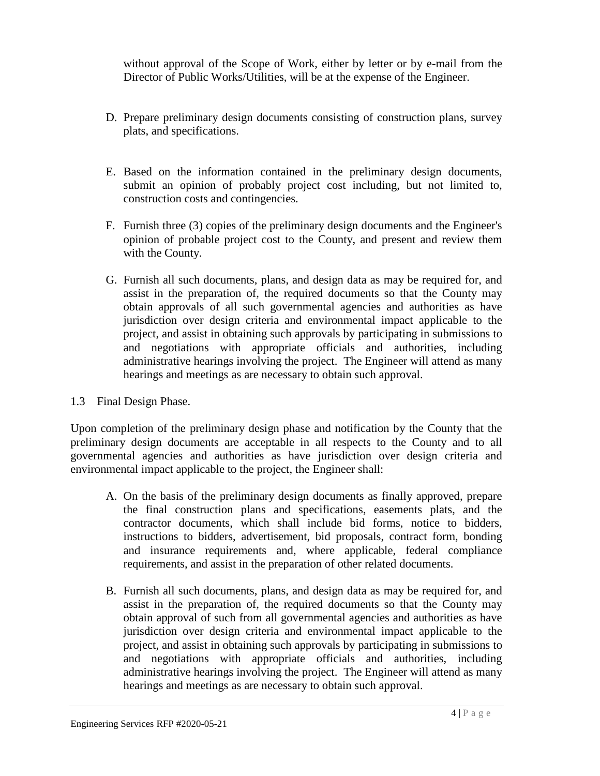without approval of the Scope of Work, either by letter or by e-mail from the Director of Public Works/Utilities, will be at the expense of the Engineer.

- D. Prepare preliminary design documents consisting of construction plans, survey plats, and specifications.
- E. Based on the information contained in the preliminary design documents, submit an opinion of probably project cost including, but not limited to, construction costs and contingencies.
- F. Furnish three (3) copies of the preliminary design documents and the Engineer's opinion of probable project cost to the County, and present and review them with the County.
- G. Furnish all such documents, plans, and design data as may be required for, and assist in the preparation of, the required documents so that the County may obtain approvals of all such governmental agencies and authorities as have jurisdiction over design criteria and environmental impact applicable to the project, and assist in obtaining such approvals by participating in submissions to and negotiations with appropriate officials and authorities, including administrative hearings involving the project. The Engineer will attend as many hearings and meetings as are necessary to obtain such approval.

# 1.3 Final Design Phase.

Upon completion of the preliminary design phase and notification by the County that the preliminary design documents are acceptable in all respects to the County and to all governmental agencies and authorities as have jurisdiction over design criteria and environmental impact applicable to the project, the Engineer shall:

- A. On the basis of the preliminary design documents as finally approved, prepare the final construction plans and specifications, easements plats, and the contractor documents, which shall include bid forms, notice to bidders, instructions to bidders, advertisement, bid proposals, contract form, bonding and insurance requirements and, where applicable, federal compliance requirements, and assist in the preparation of other related documents.
- B. Furnish all such documents, plans, and design data as may be required for, and assist in the preparation of, the required documents so that the County may obtain approval of such from all governmental agencies and authorities as have jurisdiction over design criteria and environmental impact applicable to the project, and assist in obtaining such approvals by participating in submissions to and negotiations with appropriate officials and authorities, including administrative hearings involving the project. The Engineer will attend as many hearings and meetings as are necessary to obtain such approval.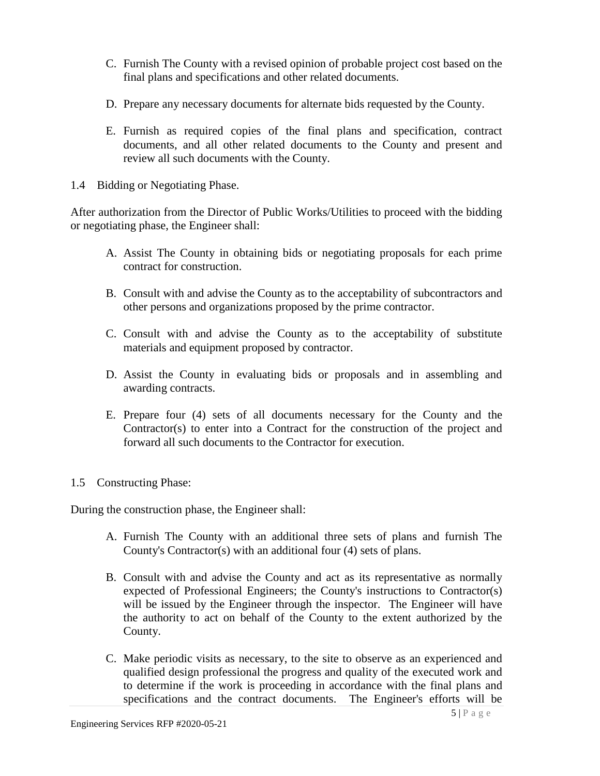- C. Furnish The County with a revised opinion of probable project cost based on the final plans and specifications and other related documents.
- D. Prepare any necessary documents for alternate bids requested by the County.
- E. Furnish as required copies of the final plans and specification, contract documents, and all other related documents to the County and present and review all such documents with the County.
- 1.4 Bidding or Negotiating Phase.

After authorization from the Director of Public Works/Utilities to proceed with the bidding or negotiating phase, the Engineer shall:

- A. Assist The County in obtaining bids or negotiating proposals for each prime contract for construction.
- B. Consult with and advise the County as to the acceptability of subcontractors and other persons and organizations proposed by the prime contractor.
- C. Consult with and advise the County as to the acceptability of substitute materials and equipment proposed by contractor.
- D. Assist the County in evaluating bids or proposals and in assembling and awarding contracts.
- E. Prepare four (4) sets of all documents necessary for the County and the Contractor(s) to enter into a Contract for the construction of the project and forward all such documents to the Contractor for execution.
- 1.5 Constructing Phase:

During the construction phase, the Engineer shall:

- A. Furnish The County with an additional three sets of plans and furnish The County's Contractor(s) with an additional four (4) sets of plans.
- B. Consult with and advise the County and act as its representative as normally expected of Professional Engineers; the County's instructions to Contractor(s) will be issued by the Engineer through the inspector. The Engineer will have the authority to act on behalf of the County to the extent authorized by the County.
- C. Make periodic visits as necessary, to the site to observe as an experienced and qualified design professional the progress and quality of the executed work and to determine if the work is proceeding in accordance with the final plans and specifications and the contract documents. The Engineer's efforts will be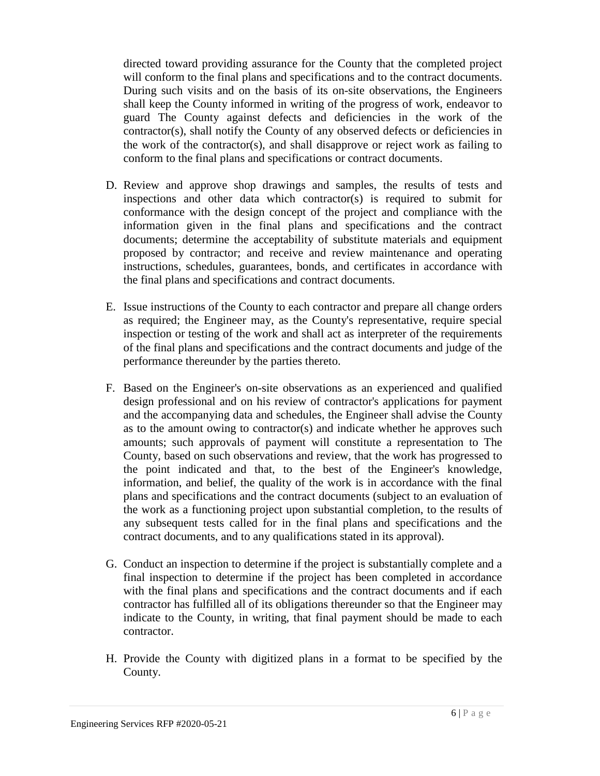directed toward providing assurance for the County that the completed project will conform to the final plans and specifications and to the contract documents. During such visits and on the basis of its on-site observations, the Engineers shall keep the County informed in writing of the progress of work, endeavor to guard The County against defects and deficiencies in the work of the contractor(s), shall notify the County of any observed defects or deficiencies in the work of the contractor(s), and shall disapprove or reject work as failing to conform to the final plans and specifications or contract documents.

- D. Review and approve shop drawings and samples, the results of tests and inspections and other data which contractor(s) is required to submit for conformance with the design concept of the project and compliance with the information given in the final plans and specifications and the contract documents; determine the acceptability of substitute materials and equipment proposed by contractor; and receive and review maintenance and operating instructions, schedules, guarantees, bonds, and certificates in accordance with the final plans and specifications and contract documents.
- E. Issue instructions of the County to each contractor and prepare all change orders as required; the Engineer may, as the County's representative, require special inspection or testing of the work and shall act as interpreter of the requirements of the final plans and specifications and the contract documents and judge of the performance thereunder by the parties thereto.
- F. Based on the Engineer's on-site observations as an experienced and qualified design professional and on his review of contractor's applications for payment and the accompanying data and schedules, the Engineer shall advise the County as to the amount owing to contractor(s) and indicate whether he approves such amounts; such approvals of payment will constitute a representation to The County, based on such observations and review, that the work has progressed to the point indicated and that, to the best of the Engineer's knowledge, information, and belief, the quality of the work is in accordance with the final plans and specifications and the contract documents (subject to an evaluation of the work as a functioning project upon substantial completion, to the results of any subsequent tests called for in the final plans and specifications and the contract documents, and to any qualifications stated in its approval).
- G. Conduct an inspection to determine if the project is substantially complete and a final inspection to determine if the project has been completed in accordance with the final plans and specifications and the contract documents and if each contractor has fulfilled all of its obligations thereunder so that the Engineer may indicate to the County, in writing, that final payment should be made to each contractor.
- H. Provide the County with digitized plans in a format to be specified by the County.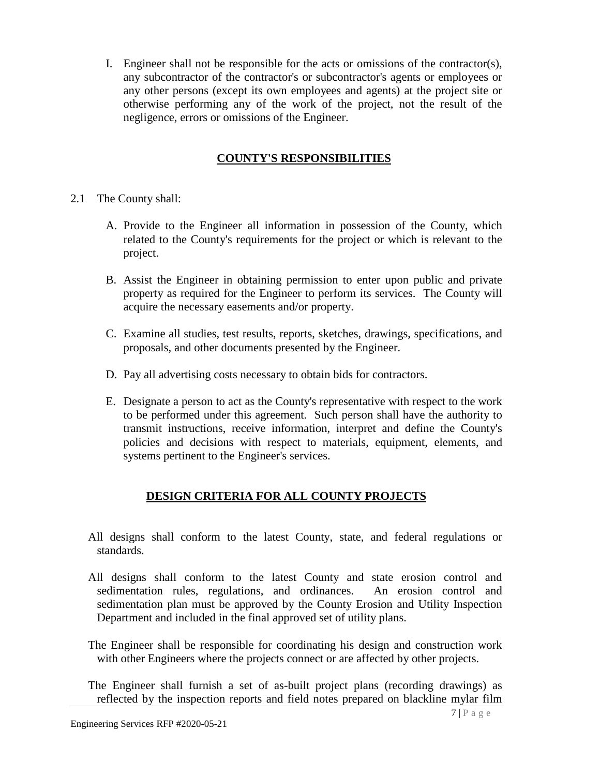I. Engineer shall not be responsible for the acts or omissions of the contractor(s), any subcontractor of the contractor's or subcontractor's agents or employees or any other persons (except its own employees and agents) at the project site or otherwise performing any of the work of the project, not the result of the negligence, errors or omissions of the Engineer.

# **COUNTY'S RESPONSIBILITIES**

- 2.1 The County shall:
	- A. Provide to the Engineer all information in possession of the County, which related to the County's requirements for the project or which is relevant to the project.
	- B. Assist the Engineer in obtaining permission to enter upon public and private property as required for the Engineer to perform its services. The County will acquire the necessary easements and/or property.
	- C. Examine all studies, test results, reports, sketches, drawings, specifications, and proposals, and other documents presented by the Engineer.
	- D. Pay all advertising costs necessary to obtain bids for contractors.
	- E. Designate a person to act as the County's representative with respect to the work to be performed under this agreement. Such person shall have the authority to transmit instructions, receive information, interpret and define the County's policies and decisions with respect to materials, equipment, elements, and systems pertinent to the Engineer's services.

# **DESIGN CRITERIA FOR ALL COUNTY PROJECTS**

- All designs shall conform to the latest County, state, and federal regulations or standards.
- All designs shall conform to the latest County and state erosion control and sedimentation rules, regulations, and ordinances. An erosion control and sedimentation plan must be approved by the County Erosion and Utility Inspection Department and included in the final approved set of utility plans.
- The Engineer shall be responsible for coordinating his design and construction work with other Engineers where the projects connect or are affected by other projects.

The Engineer shall furnish a set of as-built project plans (recording drawings) as reflected by the inspection reports and field notes prepared on blackline mylar film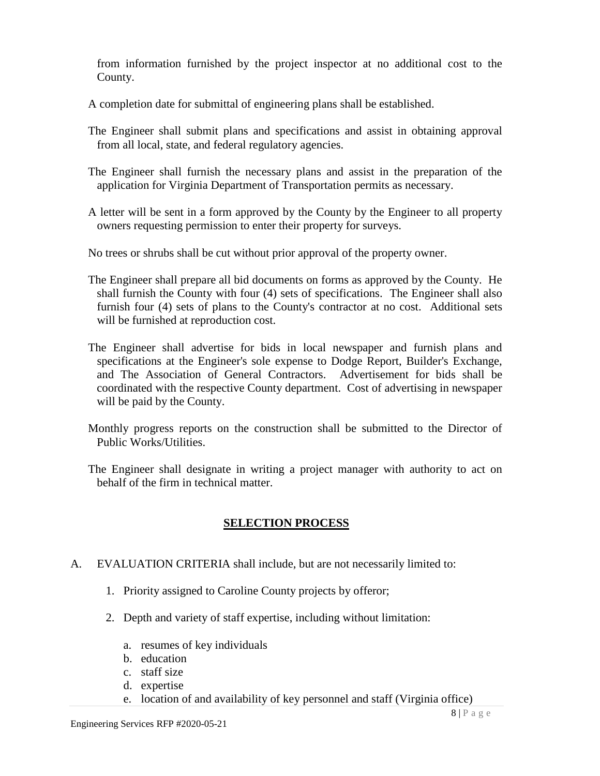from information furnished by the project inspector at no additional cost to the County.

A completion date for submittal of engineering plans shall be established.

- The Engineer shall submit plans and specifications and assist in obtaining approval from all local, state, and federal regulatory agencies.
- The Engineer shall furnish the necessary plans and assist in the preparation of the application for Virginia Department of Transportation permits as necessary.
- A letter will be sent in a form approved by the County by the Engineer to all property owners requesting permission to enter their property for surveys.

No trees or shrubs shall be cut without prior approval of the property owner.

- The Engineer shall prepare all bid documents on forms as approved by the County. He shall furnish the County with four (4) sets of specifications. The Engineer shall also furnish four (4) sets of plans to the County's contractor at no cost. Additional sets will be furnished at reproduction cost.
- The Engineer shall advertise for bids in local newspaper and furnish plans and specifications at the Engineer's sole expense to Dodge Report, Builder's Exchange, and The Association of General Contractors. Advertisement for bids shall be coordinated with the respective County department. Cost of advertising in newspaper will be paid by the County.
- Monthly progress reports on the construction shall be submitted to the Director of Public Works/Utilities.
- The Engineer shall designate in writing a project manager with authority to act on behalf of the firm in technical matter.

# **SELECTION PROCESS**

- A. EVALUATION CRITERIA shall include, but are not necessarily limited to:
	- 1. Priority assigned to Caroline County projects by offeror;
	- 2. Depth and variety of staff expertise, including without limitation:
		- a. resumes of key individuals
		- b. education
		- c. staff size
		- d. expertise
		- e. location of and availability of key personnel and staff (Virginia office)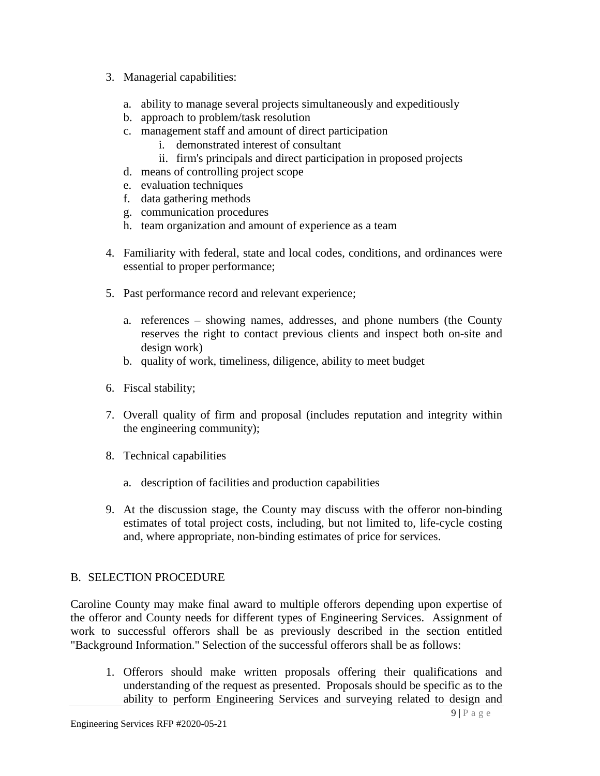- 3. Managerial capabilities:
	- a. ability to manage several projects simultaneously and expeditiously
	- b. approach to problem/task resolution
	- c. management staff and amount of direct participation
		- i. demonstrated interest of consultant
		- ii. firm's principals and direct participation in proposed projects
	- d. means of controlling project scope
	- e. evaluation techniques
	- f. data gathering methods
	- g. communication procedures
	- h. team organization and amount of experience as a team
- 4. Familiarity with federal, state and local codes, conditions, and ordinances were essential to proper performance;
- 5. Past performance record and relevant experience;
	- a. references showing names, addresses, and phone numbers (the County reserves the right to contact previous clients and inspect both on-site and design work)
	- b. quality of work, timeliness, diligence, ability to meet budget
- 6. Fiscal stability;
- 7. Overall quality of firm and proposal (includes reputation and integrity within the engineering community);
- 8. Technical capabilities
	- a. description of facilities and production capabilities
- 9. At the discussion stage, the County may discuss with the offeror non-binding estimates of total project costs, including, but not limited to, life-cycle costing and, where appropriate, non-binding estimates of price for services.

# B. SELECTION PROCEDURE

Caroline County may make final award to multiple offerors depending upon expertise of the offeror and County needs for different types of Engineering Services. Assignment of work to successful offerors shall be as previously described in the section entitled "Background Information." Selection of the successful offerors shall be as follows:

1. Offerors should make written proposals offering their qualifications and understanding of the request as presented. Proposals should be specific as to the ability to perform Engineering Services and surveying related to design and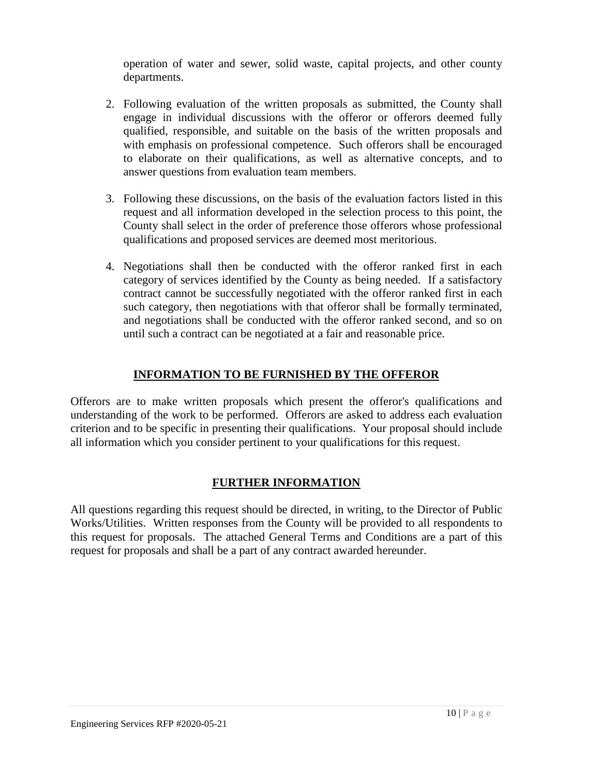operation of water and sewer, solid waste, capital projects, and other county departments.

- 2. Following evaluation of the written proposals as submitted, the County shall engage in individual discussions with the offeror or offerors deemed fully qualified, responsible, and suitable on the basis of the written proposals and with emphasis on professional competence. Such offerors shall be encouraged to elaborate on their qualifications, as well as alternative concepts, and to answer questions from evaluation team members.
- 3. Following these discussions, on the basis of the evaluation factors listed in this request and all information developed in the selection process to this point, the County shall select in the order of preference those offerors whose professional qualifications and proposed services are deemed most meritorious.
- 4. Negotiations shall then be conducted with the offeror ranked first in each category of services identified by the County as being needed. If a satisfactory contract cannot be successfully negotiated with the offeror ranked first in each such category, then negotiations with that offeror shall be formally terminated, and negotiations shall be conducted with the offeror ranked second, and so on until such a contract can be negotiated at a fair and reasonable price.

# **INFORMATION TO BE FURNISHED BY THE OFFEROR**

Offerors are to make written proposals which present the offeror's qualifications and understanding of the work to be performed. Offerors are asked to address each evaluation criterion and to be specific in presenting their qualifications. Your proposal should include all information which you consider pertinent to your qualifications for this request.

# **FURTHER INFORMATION**

All questions regarding this request should be directed, in writing, to the Director of Public Works/Utilities. Written responses from the County will be provided to all respondents to this request for proposals. The attached General Terms and Conditions are a part of this request for proposals and shall be a part of any contract awarded hereunder.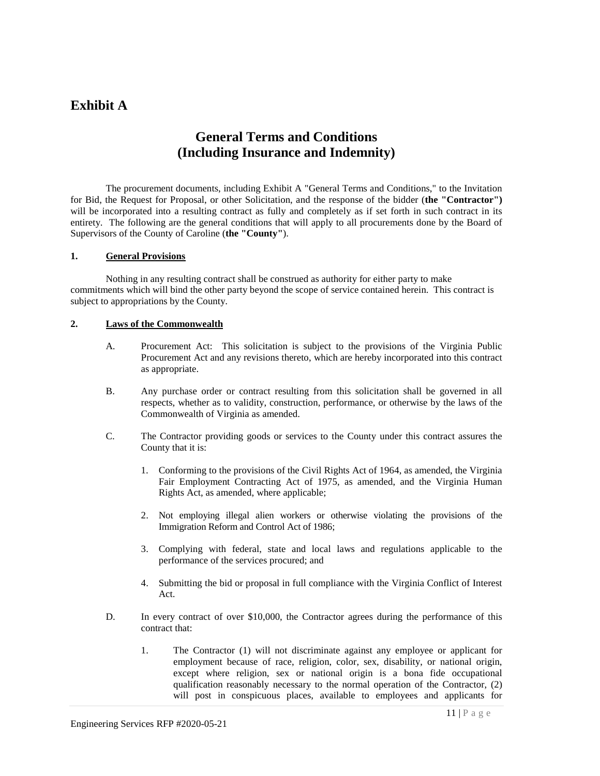# **Exhibit A**

# **General Terms and Conditions (Including Insurance and Indemnity)**

The procurement documents, including Exhibit A "General Terms and Conditions," to the Invitation for Bid, the Request for Proposal, or other Solicitation, and the response of the bidder (**the "Contractor")** will be incorporated into a resulting contract as fully and completely as if set forth in such contract in its entirety. The following are the general conditions that will apply to all procurements done by the Board of Supervisors of the County of Caroline (**the "County"**).

#### **1. General Provisions**

Nothing in any resulting contract shall be construed as authority for either party to make commitments which will bind the other party beyond the scope of service contained herein. This contract is subject to appropriations by the County.

#### **2. Laws of the Commonwealth**

- A. Procurement Act: This solicitation is subject to the provisions of the Virginia Public Procurement Act and any revisions thereto, which are hereby incorporated into this contract as appropriate.
- B. Any purchase order or contract resulting from this solicitation shall be governed in all respects, whether as to validity, construction, performance, or otherwise by the laws of the Commonwealth of Virginia as amended.
- C. The Contractor providing goods or services to the County under this contract assures the County that it is:
	- 1. Conforming to the provisions of the Civil Rights Act of 1964, as amended, the Virginia Fair Employment Contracting Act of 1975, as amended, and the Virginia Human Rights Act, as amended, where applicable;
	- 2. Not employing illegal alien workers or otherwise violating the provisions of the Immigration Reform and Control Act of 1986;
	- 3. Complying with federal, state and local laws and regulations applicable to the performance of the services procured; and
	- 4. Submitting the bid or proposal in full compliance with the Virginia Conflict of Interest Act.
- D. In every contract of over \$10,000, the Contractor agrees during the performance of this contract that:
	- 1. The Contractor (1) will not discriminate against any employee or applicant for employment because of race, religion, color, sex, disability, or national origin, except where religion, sex or national origin is a bona fide occupational qualification reasonably necessary to the normal operation of the Contractor, (2) will post in conspicuous places, available to employees and applicants for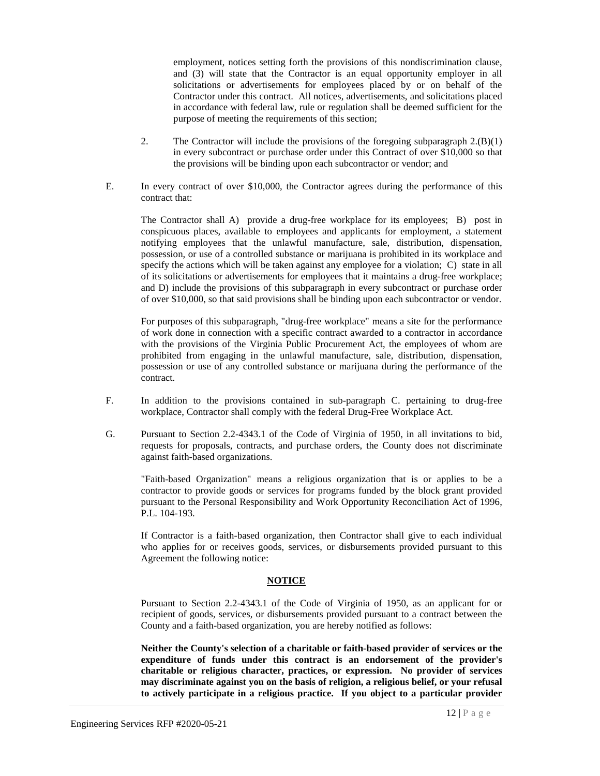employment, notices setting forth the provisions of this nondiscrimination clause, and (3) will state that the Contractor is an equal opportunity employer in all solicitations or advertisements for employees placed by or on behalf of the Contractor under this contract. All notices, advertisements, and solicitations placed in accordance with federal law, rule or regulation shall be deemed sufficient for the purpose of meeting the requirements of this section;

- 2. The Contractor will include the provisions of the foregoing subparagraph  $2.(B)(1)$ in every subcontract or purchase order under this Contract of over \$10,000 so that the provisions will be binding upon each subcontractor or vendor; and
- E. In every contract of over \$10,000, the Contractor agrees during the performance of this contract that:

The Contractor shall A) provide a drug-free workplace for its employees; B) post in conspicuous places, available to employees and applicants for employment, a statement notifying employees that the unlawful manufacture, sale, distribution, dispensation, possession, or use of a controlled substance or marijuana is prohibited in its workplace and specify the actions which will be taken against any employee for a violation; C) state in all of its solicitations or advertisements for employees that it maintains a drug-free workplace; and D) include the provisions of this subparagraph in every subcontract or purchase order of over \$10,000, so that said provisions shall be binding upon each subcontractor or vendor.

For purposes of this subparagraph, "drug-free workplace" means a site for the performance of work done in connection with a specific contract awarded to a contractor in accordance with the provisions of the Virginia Public Procurement Act, the employees of whom are prohibited from engaging in the unlawful manufacture, sale, distribution, dispensation, possession or use of any controlled substance or marijuana during the performance of the contract.

- F. In addition to the provisions contained in sub-paragraph C. pertaining to drug-free workplace, Contractor shall comply with the federal Drug-Free Workplace Act.
- G. Pursuant to Section 2.2-4343.1 of the Code of Virginia of 1950, in all invitations to bid, requests for proposals, contracts, and purchase orders, the County does not discriminate against faith-based organizations.

"Faith-based Organization" means a religious organization that is or applies to be a contractor to provide goods or services for programs funded by the block grant provided pursuant to the Personal Responsibility and Work Opportunity Reconciliation Act of 1996, P.L. 104-193.

If Contractor is a faith-based organization, then Contractor shall give to each individual who applies for or receives goods, services, or disbursements provided pursuant to this Agreement the following notice:

#### **NOTICE**

Pursuant to Section 2.2-4343.1 of the Code of Virginia of 1950, as an applicant for or recipient of goods, services, or disbursements provided pursuant to a contract between the County and a faith-based organization, you are hereby notified as follows:

**Neither the County's selection of a charitable or faith-based provider of services or the expenditure of funds under this contract is an endorsement of the provider's charitable or religious character, practices, or expression. No provider of services may discriminate against you on the basis of religion, a religious belief, or your refusal to actively participate in a religious practice. If you object to a particular provider**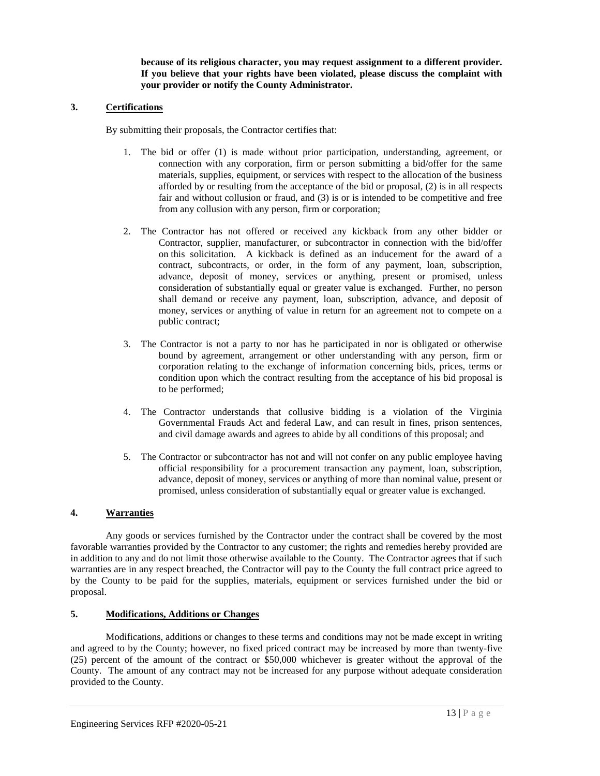**because of its religious character, you may request assignment to a different provider. If you believe that your rights have been violated, please discuss the complaint with your provider or notify the County Administrator.**

#### **3. Certifications**

By submitting their proposals, the Contractor certifies that:

- 1. The bid or offer (1) is made without prior participation, understanding, agreement, or connection with any corporation, firm or person submitting a bid/offer for the same materials, supplies, equipment, or services with respect to the allocation of the business afforded by or resulting from the acceptance of the bid or proposal, (2) is in all respects fair and without collusion or fraud, and (3) is or is intended to be competitive and free from any collusion with any person, firm or corporation;
- 2. The Contractor has not offered or received any kickback from any other bidder or Contractor, supplier, manufacturer, or subcontractor in connection with the bid/offer on this solicitation. A kickback is defined as an inducement for the award of a contract, subcontracts, or order, in the form of any payment, loan, subscription, advance, deposit of money, services or anything, present or promised, unless consideration of substantially equal or greater value is exchanged. Further, no person shall demand or receive any payment, loan, subscription, advance, and deposit of money, services or anything of value in return for an agreement not to compete on a public contract;
- 3. The Contractor is not a party to nor has he participated in nor is obligated or otherwise bound by agreement, arrangement or other understanding with any person, firm or corporation relating to the exchange of information concerning bids, prices, terms or condition upon which the contract resulting from the acceptance of his bid proposal is to be performed;
- 4. The Contractor understands that collusive bidding is a violation of the Virginia Governmental Frauds Act and federal Law, and can result in fines, prison sentences, and civil damage awards and agrees to abide by all conditions of this proposal; and
- 5. The Contractor or subcontractor has not and will not confer on any public employee having official responsibility for a procurement transaction any payment, loan, subscription, advance, deposit of money, services or anything of more than nominal value, present or promised, unless consideration of substantially equal or greater value is exchanged.

#### **4. Warranties**

Any goods or services furnished by the Contractor under the contract shall be covered by the most favorable warranties provided by the Contractor to any customer; the rights and remedies hereby provided are in addition to any and do not limit those otherwise available to the County. The Contractor agrees that if such warranties are in any respect breached, the Contractor will pay to the County the full contract price agreed to by the County to be paid for the supplies, materials, equipment or services furnished under the bid or proposal.

#### **5. Modifications, Additions or Changes**

Modifications, additions or changes to these terms and conditions may not be made except in writing and agreed to by the County; however, no fixed priced contract may be increased by more than twenty-five (25) percent of the amount of the contract or \$50,000 whichever is greater without the approval of the County. The amount of any contract may not be increased for any purpose without adequate consideration provided to the County.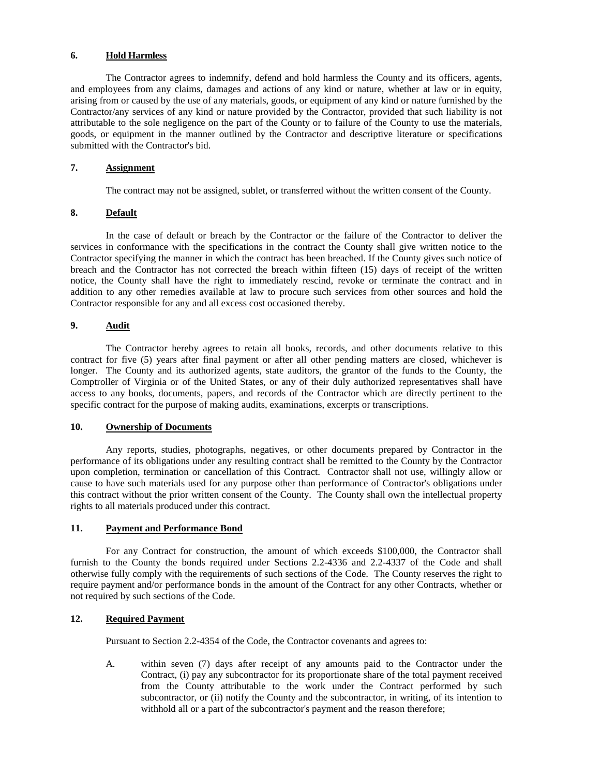#### **6. Hold Harmless**

The Contractor agrees to indemnify, defend and hold harmless the County and its officers, agents, and employees from any claims, damages and actions of any kind or nature, whether at law or in equity, arising from or caused by the use of any materials, goods, or equipment of any kind or nature furnished by the Contractor/any services of any kind or nature provided by the Contractor, provided that such liability is not attributable to the sole negligence on the part of the County or to failure of the County to use the materials, goods, or equipment in the manner outlined by the Contractor and descriptive literature or specifications submitted with the Contractor's bid.

#### **7. Assignment**

The contract may not be assigned, sublet, or transferred without the written consent of the County.

#### **8. Default**

In the case of default or breach by the Contractor or the failure of the Contractor to deliver the services in conformance with the specifications in the contract the County shall give written notice to the Contractor specifying the manner in which the contract has been breached. If the County gives such notice of breach and the Contractor has not corrected the breach within fifteen (15) days of receipt of the written notice, the County shall have the right to immediately rescind, revoke or terminate the contract and in addition to any other remedies available at law to procure such services from other sources and hold the Contractor responsible for any and all excess cost occasioned thereby.

#### **9. Audit**

The Contractor hereby agrees to retain all books, records, and other documents relative to this contract for five (5) years after final payment or after all other pending matters are closed, whichever is longer. The County and its authorized agents, state auditors, the grantor of the funds to the County, the Comptroller of Virginia or of the United States, or any of their duly authorized representatives shall have access to any books, documents, papers, and records of the Contractor which are directly pertinent to the specific contract for the purpose of making audits, examinations, excerpts or transcriptions.

#### **10. Ownership of Documents**

Any reports, studies, photographs, negatives, or other documents prepared by Contractor in the performance of its obligations under any resulting contract shall be remitted to the County by the Contractor upon completion, termination or cancellation of this Contract. Contractor shall not use, willingly allow or cause to have such materials used for any purpose other than performance of Contractor's obligations under this contract without the prior written consent of the County. The County shall own the intellectual property rights to all materials produced under this contract.

#### **11. Payment and Performance Bond**

For any Contract for construction, the amount of which exceeds \$100,000, the Contractor shall furnish to the County the bonds required under Sections 2.2-4336 and 2.2-4337 of the Code and shall otherwise fully comply with the requirements of such sections of the Code. The County reserves the right to require payment and/or performance bonds in the amount of the Contract for any other Contracts, whether or not required by such sections of the Code.

#### **12. Required Payment**

Pursuant to Section 2.2-4354 of the Code, the Contractor covenants and agrees to:

A. within seven (7) days after receipt of any amounts paid to the Contractor under the Contract, (i) pay any subcontractor for its proportionate share of the total payment received from the County attributable to the work under the Contract performed by such subcontractor, or (ii) notify the County and the subcontractor, in writing, of its intention to withhold all or a part of the subcontractor's payment and the reason therefore;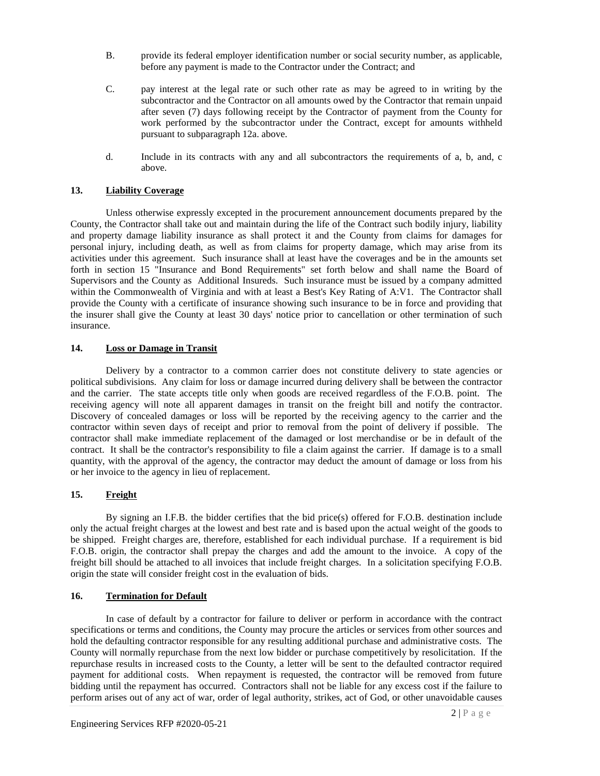- B. provide its federal employer identification number or social security number, as applicable, before any payment is made to the Contractor under the Contract; and
- C. pay interest at the legal rate or such other rate as may be agreed to in writing by the subcontractor and the Contractor on all amounts owed by the Contractor that remain unpaid after seven (7) days following receipt by the Contractor of payment from the County for work performed by the subcontractor under the Contract, except for amounts withheld pursuant to subparagraph 12a. above.
- d. Include in its contracts with any and all subcontractors the requirements of a, b, and, c above.

#### **13. Liability Coverage**

Unless otherwise expressly excepted in the procurement announcement documents prepared by the County, the Contractor shall take out and maintain during the life of the Contract such bodily injury, liability and property damage liability insurance as shall protect it and the County from claims for damages for personal injury, including death, as well as from claims for property damage, which may arise from its activities under this agreement. Such insurance shall at least have the coverages and be in the amounts set forth in section 15 "Insurance and Bond Requirements" set forth below and shall name the Board of Supervisors and the County as Additional Insureds. Such insurance must be issued by a company admitted within the Commonwealth of Virginia and with at least a Best's Key Rating of A:V1. The Contractor shall provide the County with a certificate of insurance showing such insurance to be in force and providing that the insurer shall give the County at least 30 days' notice prior to cancellation or other termination of such insurance.

#### **14. Loss or Damage in Transit**

Delivery by a contractor to a common carrier does not constitute delivery to state agencies or political subdivisions. Any claim for loss or damage incurred during delivery shall be between the contractor and the carrier. The state accepts title only when goods are received regardless of the F.O.B. point. The receiving agency will note all apparent damages in transit on the freight bill and notify the contractor. Discovery of concealed damages or loss will be reported by the receiving agency to the carrier and the contractor within seven days of receipt and prior to removal from the point of delivery if possible. The contractor shall make immediate replacement of the damaged or lost merchandise or be in default of the contract. It shall be the contractor's responsibility to file a claim against the carrier. If damage is to a small quantity, with the approval of the agency, the contractor may deduct the amount of damage or loss from his or her invoice to the agency in lieu of replacement.

#### **15. Freight**

By signing an I.F.B. the bidder certifies that the bid price(s) offered for F.O.B. destination include only the actual freight charges at the lowest and best rate and is based upon the actual weight of the goods to be shipped. Freight charges are, therefore, established for each individual purchase. If a requirement is bid F.O.B. origin, the contractor shall prepay the charges and add the amount to the invoice. A copy of the freight bill should be attached to all invoices that include freight charges. In a solicitation specifying F.O.B. origin the state will consider freight cost in the evaluation of bids.

#### **16. Termination for Default**

In case of default by a contractor for failure to deliver or perform in accordance with the contract specifications or terms and conditions, the County may procure the articles or services from other sources and hold the defaulting contractor responsible for any resulting additional purchase and administrative costs. The County will normally repurchase from the next low bidder or purchase competitively by resolicitation. If the repurchase results in increased costs to the County, a letter will be sent to the defaulted contractor required payment for additional costs. When repayment is requested, the contractor will be removed from future bidding until the repayment has occurred. Contractors shall not be liable for any excess cost if the failure to perform arises out of any act of war, order of legal authority, strikes, act of God, or other unavoidable causes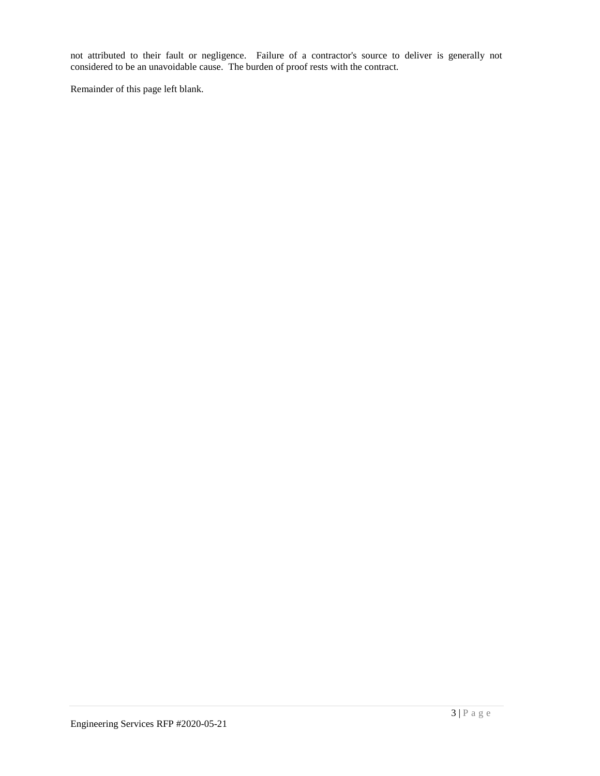not attributed to their fault or negligence. Failure of a contractor's source to deliver is generally not considered to be an unavoidable cause. The burden of proof rests with the contract.

Remainder of this page left blank.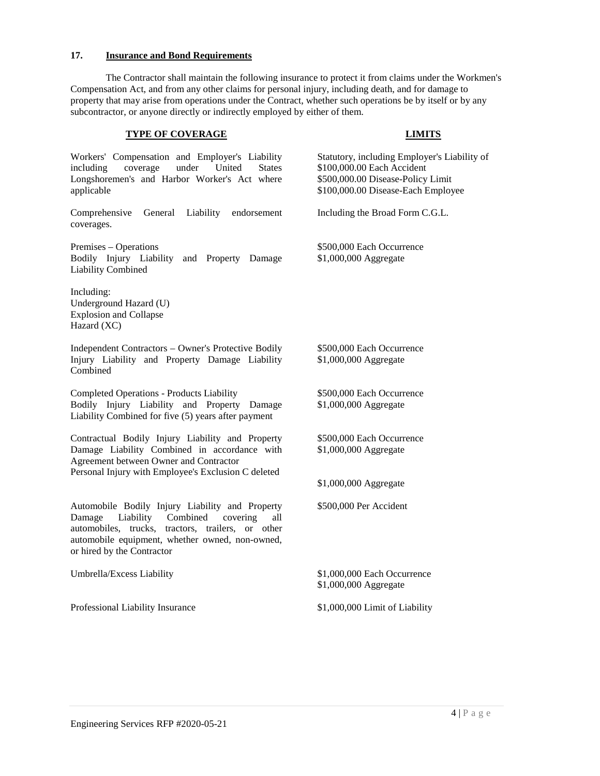#### **17. Insurance and Bond Requirements**

The Contractor shall maintain the following insurance to protect it from claims under the Workmen's Compensation Act, and from any other claims for personal injury, including death, and for damage to property that may arise from operations under the Contract, whether such operations be by itself or by any subcontractor, or anyone directly or indirectly employed by either of them.

#### **TYPE OF COVERAGE LIMITS**

Workers' Compensation and Employer's Liability including coverage under United States Longshoremen's and Harbor Worker's Act where applicable

Comprehensive General Liability endorsement coverages.

Premises – Operations Bodily Injury Liability and Property Damage Liability Combined

Including: Underground Hazard (U) Explosion and Collapse Hazard (XC)

Independent Contractors – Owner's Protective Bodily Injury Liability and Property Damage Liability Combined

Completed Operations - Products Liability Bodily Injury Liability and Property Damage Liability Combined for five (5) years after payment

Contractual Bodily Injury Liability and Property Damage Liability Combined in accordance with Agreement between Owner and Contractor Personal Injury with Employee's Exclusion C deleted

Automobile Bodily Injury Liability and Property Damage Liability Combined covering all automobiles, trucks, tractors, trailers, or other automobile equipment, whether owned, non-owned, or hired by the Contractor

Professional Liability Insurance  $$1,000,000$  Limit of Liability

Statutory, including Employer's Liability of \$100,000.00 Each Accident \$500,000.00 Disease-Policy Limit \$100,000.00 Disease-Each Employee

Including the Broad Form C.G.L.

\$500,000 Each Occurrence \$1,000,000 Aggregate

\$500,000 Each Occurrence \$1,000,000 Aggregate

\$500,000 Each Occurrence \$1,000,000 Aggregate

\$500,000 Each Occurrence \$1,000,000 Aggregate

\$1,000,000 Aggregate

\$500,000 Per Accident

Umbrella/Excess Liability  $$1,000,000$  Each Occurrence \$1,000,000 Aggregate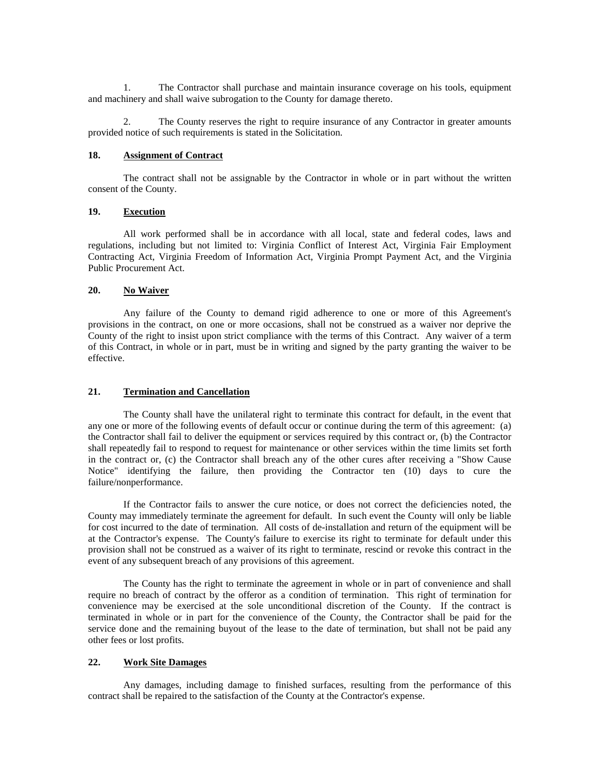1. The Contractor shall purchase and maintain insurance coverage on his tools, equipment and machinery and shall waive subrogation to the County for damage thereto.

2. The County reserves the right to require insurance of any Contractor in greater amounts provided notice of such requirements is stated in the Solicitation.

#### **18. Assignment of Contract**

The contract shall not be assignable by the Contractor in whole or in part without the written consent of the County.

#### **19. Execution**

All work performed shall be in accordance with all local, state and federal codes, laws and regulations, including but not limited to: Virginia Conflict of Interest Act, Virginia Fair Employment Contracting Act, Virginia Freedom of Information Act, Virginia Prompt Payment Act, and the Virginia Public Procurement Act.

#### 20. No Waiver

Any failure of the County to demand rigid adherence to one or more of this Agreement's provisions in the contract, on one or more occasions, shall not be construed as a waiver nor deprive the County of the right to insist upon strict compliance with the terms of this Contract. Any waiver of a term of this Contract, in whole or in part, must be in writing and signed by the party granting the waiver to be effective.

#### **21. Termination and Cancellation**

The County shall have the unilateral right to terminate this contract for default, in the event that any one or more of the following events of default occur or continue during the term of this agreement: (a) the Contractor shall fail to deliver the equipment or services required by this contract or, (b) the Contractor shall repeatedly fail to respond to request for maintenance or other services within the time limits set forth in the contract or, (c) the Contractor shall breach any of the other cures after receiving a "Show Cause Notice" identifying the failure, then providing the Contractor ten (10) days to cure the failure/nonperformance.

If the Contractor fails to answer the cure notice, or does not correct the deficiencies noted, the County may immediately terminate the agreement for default. In such event the County will only be liable for cost incurred to the date of termination. All costs of de-installation and return of the equipment will be at the Contractor's expense. The County's failure to exercise its right to terminate for default under this provision shall not be construed as a waiver of its right to terminate, rescind or revoke this contract in the event of any subsequent breach of any provisions of this agreement.

The County has the right to terminate the agreement in whole or in part of convenience and shall require no breach of contract by the offeror as a condition of termination. This right of termination for convenience may be exercised at the sole unconditional discretion of the County. If the contract is terminated in whole or in part for the convenience of the County, the Contractor shall be paid for the service done and the remaining buyout of the lease to the date of termination, but shall not be paid any other fees or lost profits.

#### **22. Work Site Damages**

Any damages, including damage to finished surfaces, resulting from the performance of this contract shall be repaired to the satisfaction of the County at the Contractor's expense.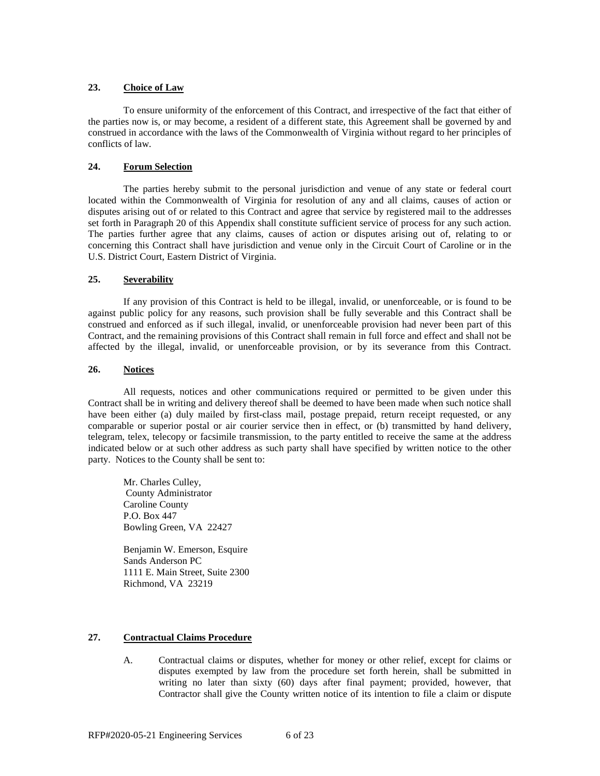#### **23. Choice of Law**

To ensure uniformity of the enforcement of this Contract, and irrespective of the fact that either of the parties now is, or may become, a resident of a different state, this Agreement shall be governed by and construed in accordance with the laws of the Commonwealth of Virginia without regard to her principles of conflicts of law.

#### **24. Forum Selection**

The parties hereby submit to the personal jurisdiction and venue of any state or federal court located within the Commonwealth of Virginia for resolution of any and all claims, causes of action or disputes arising out of or related to this Contract and agree that service by registered mail to the addresses set forth in Paragraph 20 of this Appendix shall constitute sufficient service of process for any such action. The parties further agree that any claims, causes of action or disputes arising out of, relating to or concerning this Contract shall have jurisdiction and venue only in the Circuit Court of Caroline or in the U.S. District Court, Eastern District of Virginia.

#### **25. Severability**

If any provision of this Contract is held to be illegal, invalid, or unenforceable, or is found to be against public policy for any reasons, such provision shall be fully severable and this Contract shall be construed and enforced as if such illegal, invalid, or unenforceable provision had never been part of this Contract, and the remaining provisions of this Contract shall remain in full force and effect and shall not be affected by the illegal, invalid, or unenforceable provision, or by its severance from this Contract.

#### **26. Notices**

All requests, notices and other communications required or permitted to be given under this Contract shall be in writing and delivery thereof shall be deemed to have been made when such notice shall have been either (a) duly mailed by first-class mail, postage prepaid, return receipt requested, or any comparable or superior postal or air courier service then in effect, or (b) transmitted by hand delivery, telegram, telex, telecopy or facsimile transmission, to the party entitled to receive the same at the address indicated below or at such other address as such party shall have specified by written notice to the other party. Notices to the County shall be sent to:

Mr. Charles Culley, County Administrator Caroline County P.O. Box 447 Bowling Green, VA 22427

Benjamin W. Emerson, Esquire Sands Anderson PC 1111 E. Main Street, Suite 2300 Richmond, VA 23219

#### **27. Contractual Claims Procedure**

A. Contractual claims or disputes, whether for money or other relief, except for claims or disputes exempted by law from the procedure set forth herein, shall be submitted in writing no later than sixty (60) days after final payment; provided, however, that Contractor shall give the County written notice of its intention to file a claim or dispute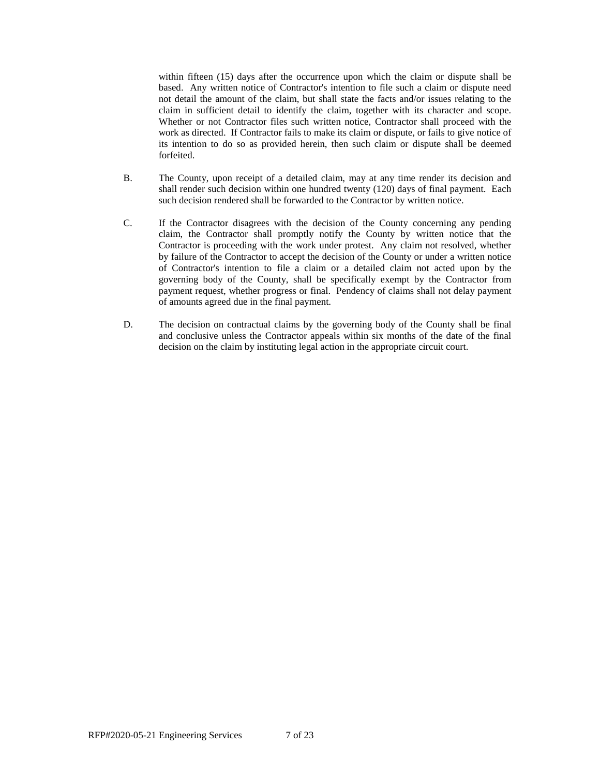within fifteen (15) days after the occurrence upon which the claim or dispute shall be based. Any written notice of Contractor's intention to file such a claim or dispute need not detail the amount of the claim, but shall state the facts and/or issues relating to the claim in sufficient detail to identify the claim, together with its character and scope. Whether or not Contractor files such written notice, Contractor shall proceed with the work as directed. If Contractor fails to make its claim or dispute, or fails to give notice of its intention to do so as provided herein, then such claim or dispute shall be deemed forfeited.

- B. The County, upon receipt of a detailed claim, may at any time render its decision and shall render such decision within one hundred twenty (120) days of final payment. Each such decision rendered shall be forwarded to the Contractor by written notice.
- C. If the Contractor disagrees with the decision of the County concerning any pending claim, the Contractor shall promptly notify the County by written notice that the Contractor is proceeding with the work under protest. Any claim not resolved, whether by failure of the Contractor to accept the decision of the County or under a written notice of Contractor's intention to file a claim or a detailed claim not acted upon by the governing body of the County, shall be specifically exempt by the Contractor from payment request, whether progress or final. Pendency of claims shall not delay payment of amounts agreed due in the final payment.
- D. The decision on contractual claims by the governing body of the County shall be final and conclusive unless the Contractor appeals within six months of the date of the final decision on the claim by instituting legal action in the appropriate circuit court.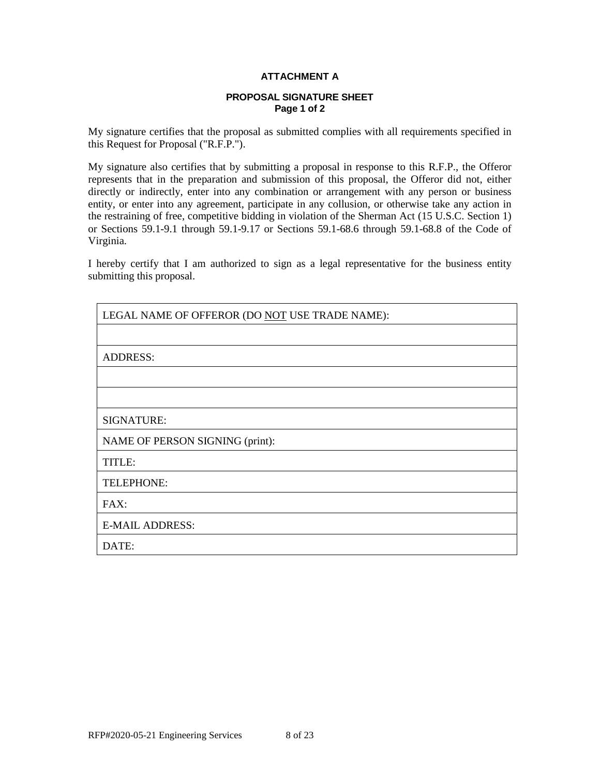### **ATTACHMENT A**

#### **PROPOSAL SIGNATURE SHEET Page 1 of 2**

My signature certifies that the proposal as submitted complies with all requirements specified in this Request for Proposal ("R.F.P.").

My signature also certifies that by submitting a proposal in response to this R.F.P., the Offeror represents that in the preparation and submission of this proposal, the Offeror did not, either directly or indirectly, enter into any combination or arrangement with any person or business entity, or enter into any agreement, participate in any collusion, or otherwise take any action in the restraining of free, competitive bidding in violation of the Sherman Act (15 U.S.C. Section 1) or Sections 59.1-9.1 through 59.1-9.17 or Sections 59.1-68.6 through 59.1-68.8 of the Code of Virginia.

I hereby certify that I am authorized to sign as a legal representative for the business entity submitting this proposal.

| LEGAL NAME OF OFFEROR (DO NOT USE TRADE NAME): |
|------------------------------------------------|
|                                                |
| <b>ADDRESS:</b>                                |
|                                                |
|                                                |
| <b>SIGNATURE:</b>                              |
| NAME OF PERSON SIGNING (print):                |
| TITLE:                                         |
| TELEPHONE:                                     |
| FAX:                                           |
| <b>E-MAIL ADDRESS:</b>                         |
| DATE:                                          |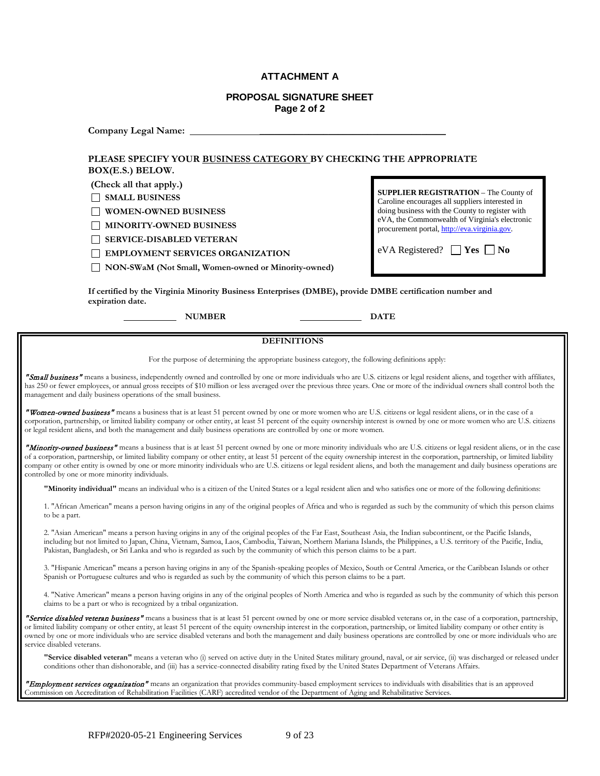#### **ATTACHMENT A**

#### **PROPOSAL SIGNATURE SHEET Page 2 of 2**

**Company Legal Name:** \_\_\_\_\_\_\_\_\_\_\_\_\_\_\_\_\_\_\_\_\_\_\_\_\_\_\_\_\_\_\_\_\_\_\_\_\_\_

#### **PLEASE SPECIFY YOUR BUSINESS CATEGORY BY CHECKING THE APPROPRIATE BOX(E.S.) BELOW.**

**(Check all that apply.)**

 **SMALL BUSINESS**

 **WOMEN-OWNED BUSINESS**

 **MINORITY-OWNED BUSINESS**

 **SERVICE-DISABLED VETERAN**

 **EMPLOYMENT SERVICES ORGANIZATION**

 **NON-SWaM (Not Small, Women-owned or Minority-owned)**

**SUPPLIER REGISTRATION** – The County of Caroline encourages all suppliers interested in doing business with the County to register with eVA, the Commonwealth of Virginia's electronic procurement portal[, http://eva.virginia.gov.](http://eva.virginia.gov/)

eVA Registered?  $\Box$  **Yes**  $\Box$  **No** 

**If certified by the Virginia Minority Business Enterprises (DMBE), provide DMBE certification number and expiration date.**

**NUMBER DATE**

#### **DEFINITIONS**

For the purpose of determining the appropriate business category, the following definitions apply:

"Small business" means a business, independently owned and controlled by one or more individuals who are U.S. citizens or legal resident aliens, and together with affiliates, has 250 or fewer employees, or annual gross receipts of \$10 million or less averaged over the previous three years. One or more of the individual owners shall control both the management and daily business operations of the small business.

"Women-owned business" means a business that is at least 51 percent owned by one or more women who are U.S. citizens or legal resident aliens, or in the case of a corporation, partnership, or limited liability company or other entity, at least 51 percent of the equity ownership interest is owned by one or more women who are U.S. citizens or legal resident aliens, and both the management and daily business operations are controlled by one or more women.

"Minority-owned business" means a business that is at least 51 percent owned by one or more minority individuals who are U.S. citizens or legal resident aliens, or in the case of a corporation, partnership, or limited liability company or other entity, at least 51 percent of the equity ownership interest in the corporation, partnership, or limited liability company or other entity is owned by one or more minority individuals who are U.S. citizens or legal resident aliens, and both the management and daily business operations are controlled by one or more minority individuals.

**"Minority individual"** means an individual who is a citizen of the United States or a legal resident alien and who satisfies one or more of the following definitions:

1. "African American" means a person having origins in any of the original peoples of Africa and who is regarded as such by the community of which this person claims to be a part.

2. "Asian American" means a person having origins in any of the original peoples of the Far East, Southeast Asia, the Indian subcontinent, or the Pacific Islands, including but not limited to Japan, China, Vietnam, Samoa, Laos, Cambodia, Taiwan, Northern Mariana Islands, the Philippines, a U.S. territory of the Pacific, India, Pakistan, Bangladesh, or Sri Lanka and who is regarded as such by the community of which this person claims to be a part.

3. "Hispanic American" means a person having origins in any of the Spanish-speaking peoples of Mexico, South or Central America, or the Caribbean Islands or other Spanish or Portuguese cultures and who is regarded as such by the community of which this person claims to be a part.

4. "Native American" means a person having origins in any of the original peoples of North America and who is regarded as such by the community of which this person claims to be a part or who is recognized by a tribal organization.

"Service disabled veteran business" means a business that is at least 51 percent owned by one or more service disabled veterans or, in the case of a corporation, partnership, or limited liability company or other entity, at least 51 percent of the equity ownership interest in the corporation, partnership, or limited liability company or other entity is owned by one or more individuals who are service disabled veterans and both the management and daily business operations are controlled by one or more individuals who are service disabled veterans.

**"Service disabled veteran"** means a veteran who (i) served on active duty in the United States military ground, naval, or air service, (ii) was discharged or released under conditions other than dishonorable, and (iii) has a service-connected disability rating fixed by the United States Department of Veterans Affairs.

"Employment services organization" means an organization that provides community-based employment services to individuals with disabilities that is an approved Commission on Accreditation of Rehabilitation Facilities (CARF) accredited vendor of the Department of Aging and Rehabilitative Services.